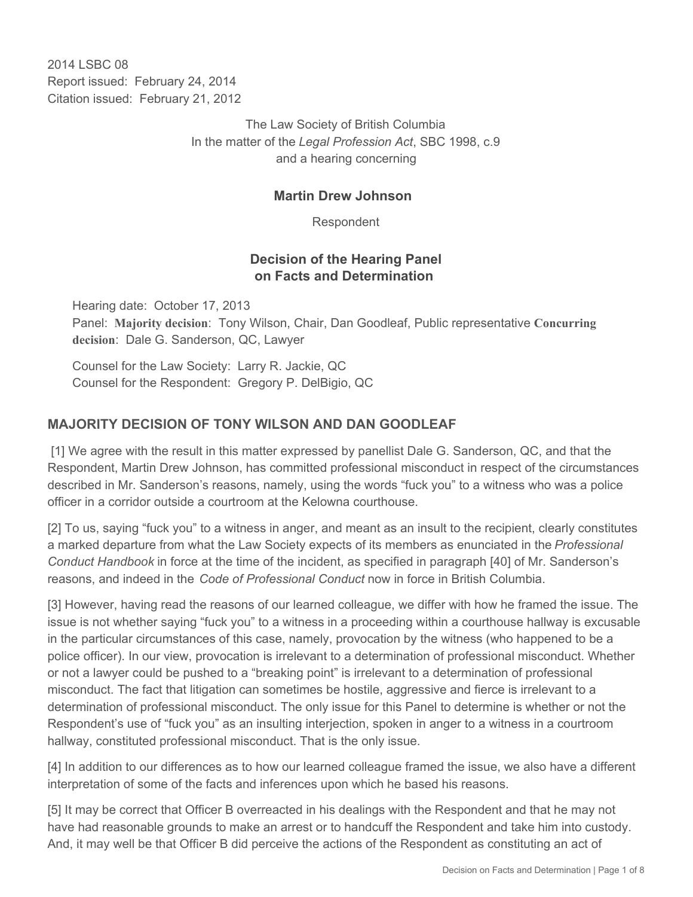2014 LSBC 08 Report issued: February 24, 2014 Citation issued: February 21, 2012

> The Law Society of British Columbia In the matter of the *Legal Profession Act*, SBC 1998, c.9 and a hearing concerning

### **Martin Drew Johnson**

Respondent

## **Decision of the Hearing Panel on Facts and Determination**

Hearing date: October 17, 2013 Panel: **Majority decision**: Tony Wilson, Chair, Dan Goodleaf, Public representative **Concurring decision**: Dale G. Sanderson, QC, Lawyer

Counsel for the Law Society: Larry R. Jackie, QC Counsel for the Respondent: Gregory P. DelBigio, QC

# **MAJORITY DECISION OF TONY WILSON AND DAN GOODLEAF**

 [1] We agree with the result in this matter expressed by panellist Dale G. Sanderson, QC, and that the Respondent, Martin Drew Johnson, has committed professional misconduct in respect of the circumstances described in Mr. Sanderson's reasons, namely, using the words "fuck you" to a witness who was a police officer in a corridor outside a courtroom at the Kelowna courthouse.

[2] To us, saying "fuck you" to a witness in anger, and meant as an insult to the recipient, clearly constitutes a marked departure from what the Law Society expects of its members as enunciated in the *Professional Conduct Handbook* in force at the time of the incident, as specified in paragraph [40] of Mr. Sanderson's reasons, and indeed in the *Code of Professional Conduct* now in force in British Columbia.

[3] However, having read the reasons of our learned colleague, we differ with how he framed the issue. The issue is not whether saying "fuck you" to a witness in a proceeding within a courthouse hallway is excusable in the particular circumstances of this case, namely, provocation by the witness (who happened to be a police officer). In our view, provocation is irrelevant to a determination of professional misconduct. Whether or not a lawyer could be pushed to a "breaking point" is irrelevant to a determination of professional misconduct. The fact that litigation can sometimes be hostile, aggressive and fierce is irrelevant to a determination of professional misconduct. The only issue for this Panel to determine is whether or not the Respondent's use of "fuck you" as an insulting interjection, spoken in anger to a witness in a courtroom hallway, constituted professional misconduct. That is the only issue.

[4] In addition to our differences as to how our learned colleague framed the issue, we also have a different interpretation of some of the facts and inferences upon which he based his reasons.

[5] It may be correct that Officer B overreacted in his dealings with the Respondent and that he may not have had reasonable grounds to make an arrest or to handcuff the Respondent and take him into custody. And, it may well be that Officer B did perceive the actions of the Respondent as constituting an act of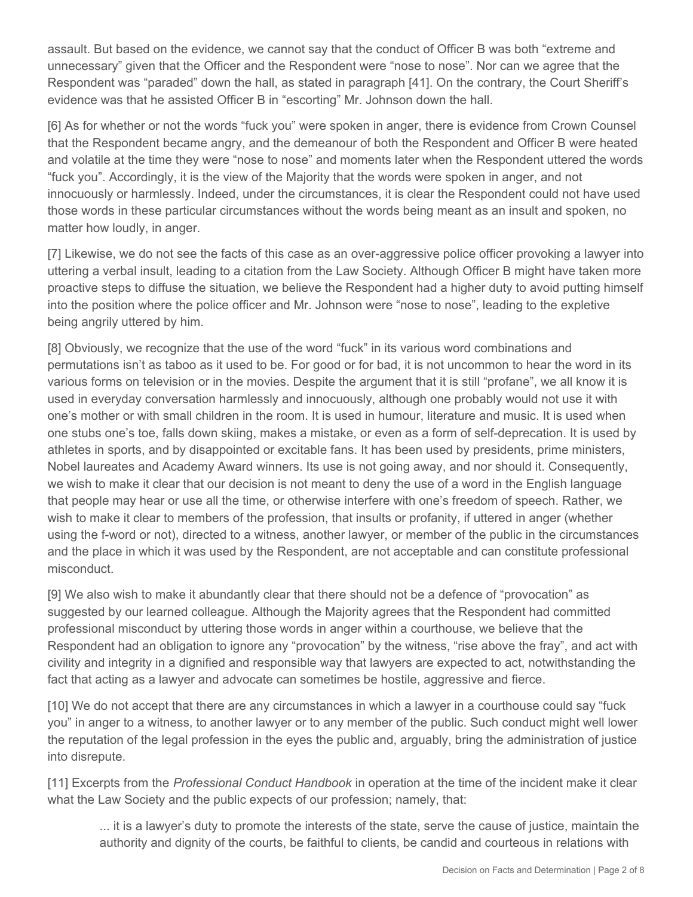assault. But based on the evidence, we cannot say that the conduct of Officer B was both "extreme and unnecessary" given that the Officer and the Respondent were "nose to nose". Nor can we agree that the Respondent was "paraded" down the hall, as stated in paragraph [41]. On the contrary, the Court Sheriff's evidence was that he assisted Officer B in "escorting" Mr. Johnson down the hall.

[6] As for whether or not the words "fuck you" were spoken in anger, there is evidence from Crown Counsel that the Respondent became angry, and the demeanour of both the Respondent and Officer B were heated and volatile at the time they were "nose to nose" and moments later when the Respondent uttered the words "fuck you". Accordingly, it is the view of the Majority that the words were spoken in anger, and not innocuously or harmlessly. Indeed, under the circumstances, it is clear the Respondent could not have used those words in these particular circumstances without the words being meant as an insult and spoken, no matter how loudly, in anger.

[7] Likewise, we do not see the facts of this case as an over-aggressive police officer provoking a lawyer into uttering a verbal insult, leading to a citation from the Law Society. Although Officer B might have taken more proactive steps to diffuse the situation, we believe the Respondent had a higher duty to avoid putting himself into the position where the police officer and Mr. Johnson were "nose to nose", leading to the expletive being angrily uttered by him.

[8] Obviously, we recognize that the use of the word "fuck" in its various word combinations and permutations isn't as taboo as it used to be. For good or for bad, it is not uncommon to hear the word in its various forms on television or in the movies. Despite the argument that it is still "profane", we all know it is used in everyday conversation harmlessly and innocuously, although one probably would not use it with one's mother or with small children in the room. It is used in humour, literature and music. It is used when one stubs one's toe, falls down skiing, makes a mistake, or even as a form of self-deprecation. It is used by athletes in sports, and by disappointed or excitable fans. It has been used by presidents, prime ministers, Nobel laureates and Academy Award winners. Its use is not going away, and nor should it. Consequently, we wish to make it clear that our decision is not meant to deny the use of a word in the English language that people may hear or use all the time, or otherwise interfere with one's freedom of speech. Rather, we wish to make it clear to members of the profession, that insults or profanity, if uttered in anger (whether using the f-word or not), directed to a witness, another lawyer, or member of the public in the circumstances and the place in which it was used by the Respondent, are not acceptable and can constitute professional misconduct.

[9] We also wish to make it abundantly clear that there should not be a defence of "provocation" as suggested by our learned colleague. Although the Majority agrees that the Respondent had committed professional misconduct by uttering those words in anger within a courthouse, we believe that the Respondent had an obligation to ignore any "provocation" by the witness, "rise above the fray", and act with civility and integrity in a dignified and responsible way that lawyers are expected to act, notwithstanding the fact that acting as a lawyer and advocate can sometimes be hostile, aggressive and fierce.

[10] We do not accept that there are any circumstances in which a lawyer in a courthouse could say "fuck you" in anger to a witness, to another lawyer or to any member of the public. Such conduct might well lower the reputation of the legal profession in the eyes the public and, arguably, bring the administration of justice into disrepute.

[11] Excerpts from the *Professional Conduct Handbook* in operation at the time of the incident make it clear what the Law Society and the public expects of our profession; namely, that:

... it is a lawyer's duty to promote the interests of the state, serve the cause of justice, maintain the authority and dignity of the courts, be faithful to clients, be candid and courteous in relations with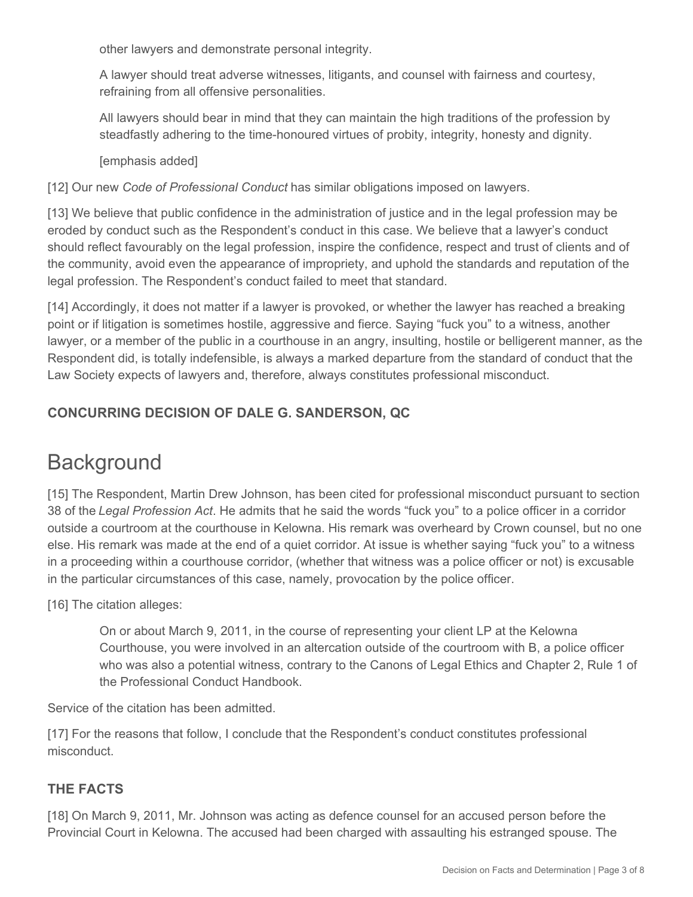other lawyers and demonstrate personal integrity.

A lawyer should treat adverse witnesses, litigants, and counsel with fairness and courtesy, refraining from all offensive personalities.

All lawyers should bear in mind that they can maintain the high traditions of the profession by steadfastly adhering to the time-honoured virtues of probity, integrity, honesty and dignity.

#### [emphasis added]

[12] Our new *Code of Professional Conduct* has similar obligations imposed on lawyers.

[13] We believe that public confidence in the administration of justice and in the legal profession may be eroded by conduct such as the Respondent's conduct in this case. We believe that a lawyer's conduct should reflect favourably on the legal profession, inspire the confidence, respect and trust of clients and of the community, avoid even the appearance of impropriety, and uphold the standards and reputation of the legal profession. The Respondent's conduct failed to meet that standard.

[14] Accordingly, it does not matter if a lawyer is provoked, or whether the lawyer has reached a breaking point or if litigation is sometimes hostile, aggressive and fierce. Saying "fuck you" to a witness, another lawyer, or a member of the public in a courthouse in an angry, insulting, hostile or belligerent manner, as the Respondent did, is totally indefensible, is always a marked departure from the standard of conduct that the Law Society expects of lawyers and, therefore, always constitutes professional misconduct.

# **CONCURRING DECISION OF DALE G. SANDERSON, QC**

# **Background**

[15] The Respondent, Martin Drew Johnson, has been cited for professional misconduct pursuant to section 38 of the *Legal Profession Act*. He admits that he said the words "fuck you" to a police officer in a corridor outside a courtroom at the courthouse in Kelowna. His remark was overheard by Crown counsel, but no one else. His remark was made at the end of a quiet corridor. At issue is whether saying "fuck you" to a witness in a proceeding within a courthouse corridor, (whether that witness was a police officer or not) is excusable in the particular circumstances of this case, namely, provocation by the police officer.

[16] The citation alleges:

On or about March 9, 2011, in the course of representing your client LP at the Kelowna Courthouse, you were involved in an altercation outside of the courtroom with B, a police officer who was also a potential witness, contrary to the Canons of Legal Ethics and Chapter 2, Rule 1 of the Professional Conduct Handbook.

Service of the citation has been admitted.

[17] For the reasons that follow, I conclude that the Respondent's conduct constitutes professional misconduct.

## **THE FACTS**

[18] On March 9, 2011, Mr. Johnson was acting as defence counsel for an accused person before the Provincial Court in Kelowna. The accused had been charged with assaulting his estranged spouse. The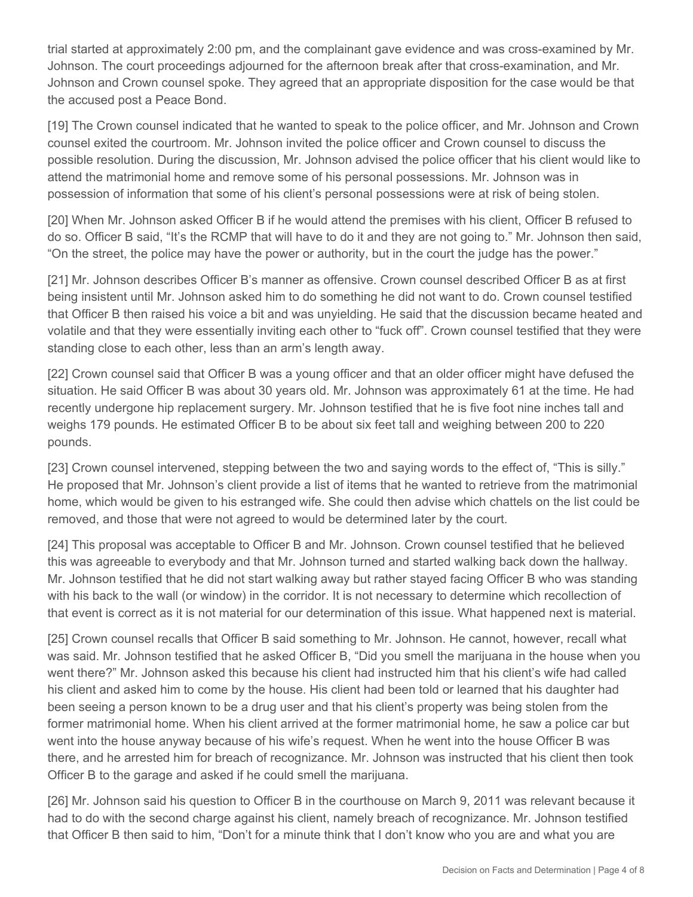trial started at approximately 2:00 pm, and the complainant gave evidence and was cross-examined by Mr. Johnson. The court proceedings adjourned for the afternoon break after that cross-examination, and Mr. Johnson and Crown counsel spoke. They agreed that an appropriate disposition for the case would be that the accused post a Peace Bond.

[19] The Crown counsel indicated that he wanted to speak to the police officer, and Mr. Johnson and Crown counsel exited the courtroom. Mr. Johnson invited the police officer and Crown counsel to discuss the possible resolution. During the discussion, Mr. Johnson advised the police officer that his client would like to attend the matrimonial home and remove some of his personal possessions. Mr. Johnson was in possession of information that some of his client's personal possessions were at risk of being stolen.

[20] When Mr. Johnson asked Officer B if he would attend the premises with his client, Officer B refused to do so. Officer B said, "It's the RCMP that will have to do it and they are not going to." Mr. Johnson then said, "On the street, the police may have the power or authority, but in the court the judge has the power."

[21] Mr. Johnson describes Officer B's manner as offensive. Crown counsel described Officer B as at first being insistent until Mr. Johnson asked him to do something he did not want to do. Crown counsel testified that Officer B then raised his voice a bit and was unyielding. He said that the discussion became heated and volatile and that they were essentially inviting each other to "fuck off". Crown counsel testified that they were standing close to each other, less than an arm's length away.

[22] Crown counsel said that Officer B was a young officer and that an older officer might have defused the situation. He said Officer B was about 30 years old. Mr. Johnson was approximately 61 at the time. He had recently undergone hip replacement surgery. Mr. Johnson testified that he is five foot nine inches tall and weighs 179 pounds. He estimated Officer B to be about six feet tall and weighing between 200 to 220 pounds.

[23] Crown counsel intervened, stepping between the two and saying words to the effect of, "This is silly." He proposed that Mr. Johnson's client provide a list of items that he wanted to retrieve from the matrimonial home, which would be given to his estranged wife. She could then advise which chattels on the list could be removed, and those that were not agreed to would be determined later by the court.

[24] This proposal was acceptable to Officer B and Mr. Johnson. Crown counsel testified that he believed this was agreeable to everybody and that Mr. Johnson turned and started walking back down the hallway. Mr. Johnson testified that he did not start walking away but rather stayed facing Officer B who was standing with his back to the wall (or window) in the corridor. It is not necessary to determine which recollection of that event is correct as it is not material for our determination of this issue. What happened next is material.

[25] Crown counsel recalls that Officer B said something to Mr. Johnson. He cannot, however, recall what was said. Mr. Johnson testified that he asked Officer B, "Did you smell the marijuana in the house when you went there?" Mr. Johnson asked this because his client had instructed him that his client's wife had called his client and asked him to come by the house. His client had been told or learned that his daughter had been seeing a person known to be a drug user and that his client's property was being stolen from the former matrimonial home. When his client arrived at the former matrimonial home, he saw a police car but went into the house anyway because of his wife's request. When he went into the house Officer B was there, and he arrested him for breach of recognizance. Mr. Johnson was instructed that his client then took Officer B to the garage and asked if he could smell the marijuana.

[26] Mr. Johnson said his question to Officer B in the courthouse on March 9, 2011 was relevant because it had to do with the second charge against his client, namely breach of recognizance. Mr. Johnson testified that Officer B then said to him, "Don't for a minute think that I don't know who you are and what you are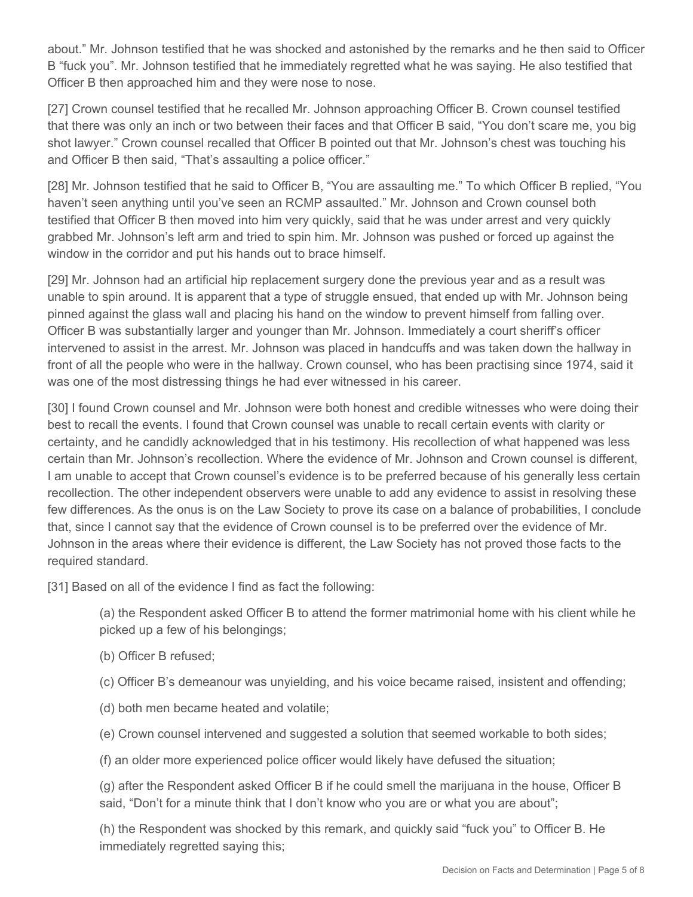about." Mr. Johnson testified that he was shocked and astonished by the remarks and he then said to Officer B "fuck you". Mr. Johnson testified that he immediately regretted what he was saying. He also testified that Officer B then approached him and they were nose to nose.

[27] Crown counsel testified that he recalled Mr. Johnson approaching Officer B. Crown counsel testified that there was only an inch or two between their faces and that Officer B said, "You don't scare me, you big shot lawyer." Crown counsel recalled that Officer B pointed out that Mr. Johnson's chest was touching his and Officer B then said, "That's assaulting a police officer."

[28] Mr. Johnson testified that he said to Officer B, "You are assaulting me." To which Officer B replied, "You haven't seen anything until you've seen an RCMP assaulted." Mr. Johnson and Crown counsel both testified that Officer B then moved into him very quickly, said that he was under arrest and very quickly grabbed Mr. Johnson's left arm and tried to spin him. Mr. Johnson was pushed or forced up against the window in the corridor and put his hands out to brace himself.

[29] Mr. Johnson had an artificial hip replacement surgery done the previous year and as a result was unable to spin around. It is apparent that a type of struggle ensued, that ended up with Mr. Johnson being pinned against the glass wall and placing his hand on the window to prevent himself from falling over. Officer B was substantially larger and younger than Mr. Johnson. Immediately a court sheriff's officer intervened to assist in the arrest. Mr. Johnson was placed in handcuffs and was taken down the hallway in front of all the people who were in the hallway. Crown counsel, who has been practising since 1974, said it was one of the most distressing things he had ever witnessed in his career.

[30] I found Crown counsel and Mr. Johnson were both honest and credible witnesses who were doing their best to recall the events. I found that Crown counsel was unable to recall certain events with clarity or certainty, and he candidly acknowledged that in his testimony. His recollection of what happened was less certain than Mr. Johnson's recollection. Where the evidence of Mr. Johnson and Crown counsel is different, I am unable to accept that Crown counsel's evidence is to be preferred because of his generally less certain recollection. The other independent observers were unable to add any evidence to assist in resolving these few differences. As the onus is on the Law Society to prove its case on a balance of probabilities, I conclude that, since I cannot say that the evidence of Crown counsel is to be preferred over the evidence of Mr. Johnson in the areas where their evidence is different, the Law Society has not proved those facts to the required standard.

[31] Based on all of the evidence I find as fact the following:

(a) the Respondent asked Officer B to attend the former matrimonial home with his client while he picked up a few of his belongings;

- (b) Officer B refused;
- (c) Officer B's demeanour was unyielding, and his voice became raised, insistent and offending;
- (d) both men became heated and volatile;
- (e) Crown counsel intervened and suggested a solution that seemed workable to both sides;
- (f) an older more experienced police officer would likely have defused the situation;

(g) after the Respondent asked Officer B if he could smell the marijuana in the house, Officer B said, "Don't for a minute think that I don't know who you are or what you are about";

(h) the Respondent was shocked by this remark, and quickly said "fuck you" to Officer B. He immediately regretted saying this;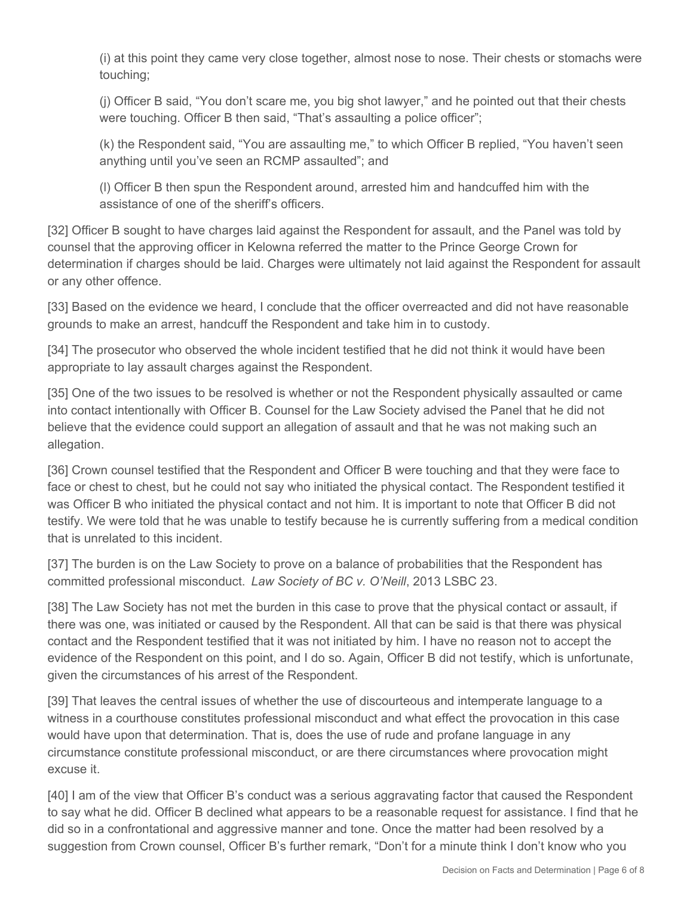(i) at this point they came very close together, almost nose to nose. Their chests or stomachs were touching;

(j) Officer B said, "You don't scare me, you big shot lawyer," and he pointed out that their chests were touching. Officer B then said, "That's assaulting a police officer";

(k) the Respondent said, "You are assaulting me," to which Officer B replied, "You haven't seen anything until you've seen an RCMP assaulted"; and

(l) Officer B then spun the Respondent around, arrested him and handcuffed him with the assistance of one of the sheriff's officers.

[32] Officer B sought to have charges laid against the Respondent for assault, and the Panel was told by counsel that the approving officer in Kelowna referred the matter to the Prince George Crown for determination if charges should be laid. Charges were ultimately not laid against the Respondent for assault or any other offence.

[33] Based on the evidence we heard, I conclude that the officer overreacted and did not have reasonable grounds to make an arrest, handcuff the Respondent and take him in to custody.

[34] The prosecutor who observed the whole incident testified that he did not think it would have been appropriate to lay assault charges against the Respondent.

[35] One of the two issues to be resolved is whether or not the Respondent physically assaulted or came into contact intentionally with Officer B. Counsel for the Law Society advised the Panel that he did not believe that the evidence could support an allegation of assault and that he was not making such an allegation.

[36] Crown counsel testified that the Respondent and Officer B were touching and that they were face to face or chest to chest, but he could not say who initiated the physical contact. The Respondent testified it was Officer B who initiated the physical contact and not him. It is important to note that Officer B did not testify. We were told that he was unable to testify because he is currently suffering from a medical condition that is unrelated to this incident.

[37] The burden is on the Law Society to prove on a balance of probabilities that the Respondent has committed professional misconduct. *Law Society of BC v. O'Neill*, 2013 LSBC 23.

[38] The Law Society has not met the burden in this case to prove that the physical contact or assault, if there was one, was initiated or caused by the Respondent. All that can be said is that there was physical contact and the Respondent testified that it was not initiated by him. I have no reason not to accept the evidence of the Respondent on this point, and I do so. Again, Officer B did not testify, which is unfortunate, given the circumstances of his arrest of the Respondent.

[39] That leaves the central issues of whether the use of discourteous and intemperate language to a witness in a courthouse constitutes professional misconduct and what effect the provocation in this case would have upon that determination. That is, does the use of rude and profane language in any circumstance constitute professional misconduct, or are there circumstances where provocation might excuse it.

[40] I am of the view that Officer B's conduct was a serious aggravating factor that caused the Respondent to say what he did. Officer B declined what appears to be a reasonable request for assistance. I find that he did so in a confrontational and aggressive manner and tone. Once the matter had been resolved by a suggestion from Crown counsel, Officer B's further remark, "Don't for a minute think I don't know who you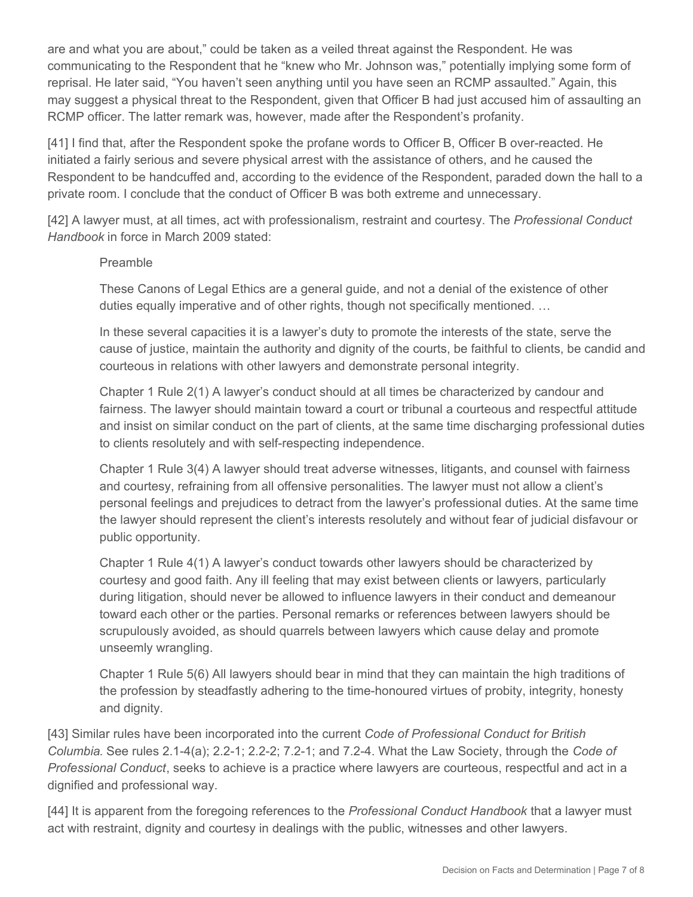are and what you are about," could be taken as a veiled threat against the Respondent. He was communicating to the Respondent that he "knew who Mr. Johnson was," potentially implying some form of reprisal. He later said, "You haven't seen anything until you have seen an RCMP assaulted." Again, this may suggest a physical threat to the Respondent, given that Officer B had just accused him of assaulting an RCMP officer. The latter remark was, however, made after the Respondent's profanity.

[41] I find that, after the Respondent spoke the profane words to Officer B, Officer B over-reacted. He initiated a fairly serious and severe physical arrest with the assistance of others, and he caused the Respondent to be handcuffed and, according to the evidence of the Respondent, paraded down the hall to a private room. I conclude that the conduct of Officer B was both extreme and unnecessary.

[42] A lawyer must, at all times, act with professionalism, restraint and courtesy. The *Professional Conduct Handbook* in force in March 2009 stated:

#### Preamble

These Canons of Legal Ethics are a general guide, and not a denial of the existence of other duties equally imperative and of other rights, though not specifically mentioned. …

In these several capacities it is a lawyer's duty to promote the interests of the state, serve the cause of justice, maintain the authority and dignity of the courts, be faithful to clients, be candid and courteous in relations with other lawyers and demonstrate personal integrity.

Chapter 1 Rule 2(1) A lawyer's conduct should at all times be characterized by candour and fairness. The lawyer should maintain toward a court or tribunal a courteous and respectful attitude and insist on similar conduct on the part of clients, at the same time discharging professional duties to clients resolutely and with self-respecting independence.

Chapter 1 Rule 3(4) A lawyer should treat adverse witnesses, litigants, and counsel with fairness and courtesy, refraining from all offensive personalities. The lawyer must not allow a client's personal feelings and prejudices to detract from the lawyer's professional duties. At the same time the lawyer should represent the client's interests resolutely and without fear of judicial disfavour or public opportunity.

Chapter 1 Rule 4(1) A lawyer's conduct towards other lawyers should be characterized by courtesy and good faith. Any ill feeling that may exist between clients or lawyers, particularly during litigation, should never be allowed to influence lawyers in their conduct and demeanour toward each other or the parties. Personal remarks or references between lawyers should be scrupulously avoided, as should quarrels between lawyers which cause delay and promote unseemly wrangling.

Chapter 1 Rule 5(6) All lawyers should bear in mind that they can maintain the high traditions of the profession by steadfastly adhering to the time-honoured virtues of probity, integrity, honesty and dignity.

[43] Similar rules have been incorporated into the current *Code of Professional Conduct for British Columbia*. See rules 2.1-4(a); 2.2-1; 2.2-2; 7.2-1; and 7.2-4. What the Law Society, through the *Code of Professional Conduct*, seeks to achieve is a practice where lawyers are courteous, respectful and act in a dignified and professional way.

[44] It is apparent from the foregoing references to the *Professional Conduct Handbook* that a lawyer must act with restraint, dignity and courtesy in dealings with the public, witnesses and other lawyers.